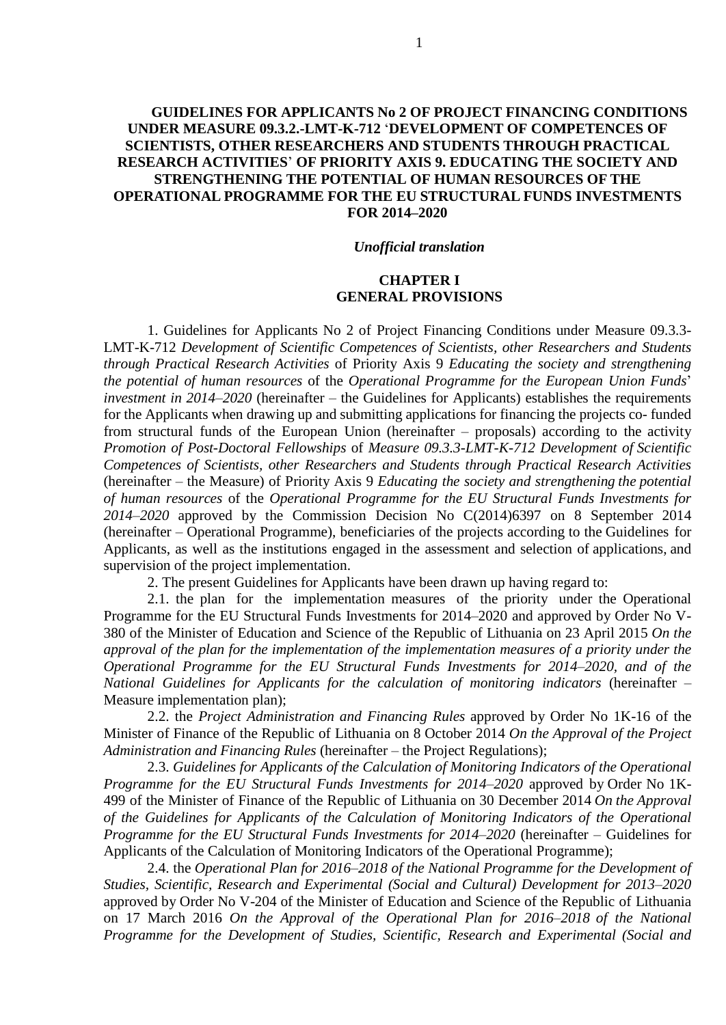# **GUIDELINES FOR APPLICANTS No 2 OF PROJECT FINANCING CONDITIONS UNDER MEASURE 09.3.2.-LMT-K-712** '**DEVELOPMENT OF COMPETENCES OF SCIENTISTS, OTHER RESEARCHERS AND STUDENTS THROUGH PRACTICAL RESEARCH ACTIVITIES**' **OF PRIORITY AXIS 9. EDUCATING THE SOCIETY AND STRENGTHENING THE POTENTIAL OF HUMAN RESOURCES OF THE OPERATIONAL PROGRAMME FOR THE EU STRUCTURAL FUNDS INVESTMENTS FOR 2014–2020**

#### *Unofficial translation*

# **CHAPTER I GENERAL PROVISIONS**

1. Guidelines for Applicants No 2 of Project Financing Conditions under Measure 09.3.3- LMT-K-712 *Development of Scientific Competences of Scientists, other Researchers and Students through Practical Research Activities* of Priority Axis 9 *Educating the society and strengthening the potential of human resources* of the *Operational Programme for the European Union Funds*' *investment in 2014–2020* (hereinafter – the Guidelines for Applicants) establishes the requirements for the Applicants when drawing up and submitting applications for financing the projects co- funded from structural funds of the European Union (hereinafter – proposals) according to the activity *Promotion of Post-Doctoral Fellowships* of *Measure 09.3.3-LMT-K-712 Development of Scientific Competences of Scientists, other Researchers and Students through Practical Research Activities* (hereinafter – the Measure) of Priority Axis 9 *Educating the society and strengthening the potential of human resources* of the *Operational Programme for the EU Structural Funds Investments for 2014–2020* approved by the Commission Decision No C(2014)6397 on 8 September 2014 (hereinafter – Operational Programme), beneficiaries of the projects according to the Guidelines for Applicants, as well as the institutions engaged in the assessment and selection of applications, and supervision of the project implementation.

2. The present Guidelines for Applicants have been drawn up having regard to:

2.1. the plan for the implementation measures of the priority under the Operational Programme for the EU Structural Funds Investments for 2014–2020 and approved by Order No V-380 of the Minister of Education and Science of the Republic of Lithuania on 23 April 2015 *On the approval of the plan for the implementation of the implementation measures of a priority under the Operational Programme for the EU Structural Funds Investments for 2014–2020, and of the National Guidelines for Applicants for the calculation of monitoring indicators* (hereinafter – Measure implementation plan);

2.2. the *Project Administration and Financing Rules* approved by Order No 1K-16 of the Minister of Finance of the Republic of Lithuania on 8 October 2014 *On the Approval of the Project Administration and Financing Rules* (hereinafter – the Project Regulations);

2.3. *Guidelines for Applicants of the Calculation of Monitoring Indicators of the Operational Programme for the EU Structural Funds Investments for 2014–2020* approved by Order No 1K-499 of the Minister of Finance of the Republic of Lithuania on 30 December 2014 *On the Approval of the Guidelines for Applicants of the Calculation of Monitoring Indicators of the Operational Programme for the EU Structural Funds Investments for 2014–2020* (hereinafter – Guidelines for Applicants of the Calculation of Monitoring Indicators of the Operational Programme);

2.4. the *Operational Plan for 2016–2018 of the National Programme for the Development of Studies, Scientific, Research and Experimental (Social and Cultural) Development for 2013–2020* approved by Order No V-204 of the Minister of Education and Science of the Republic of Lithuania on 17 March 2016 *On the Approval of the Operational Plan for 2016–2018 of the National Programme for the Development of Studies, Scientific, Research and Experimental (Social and*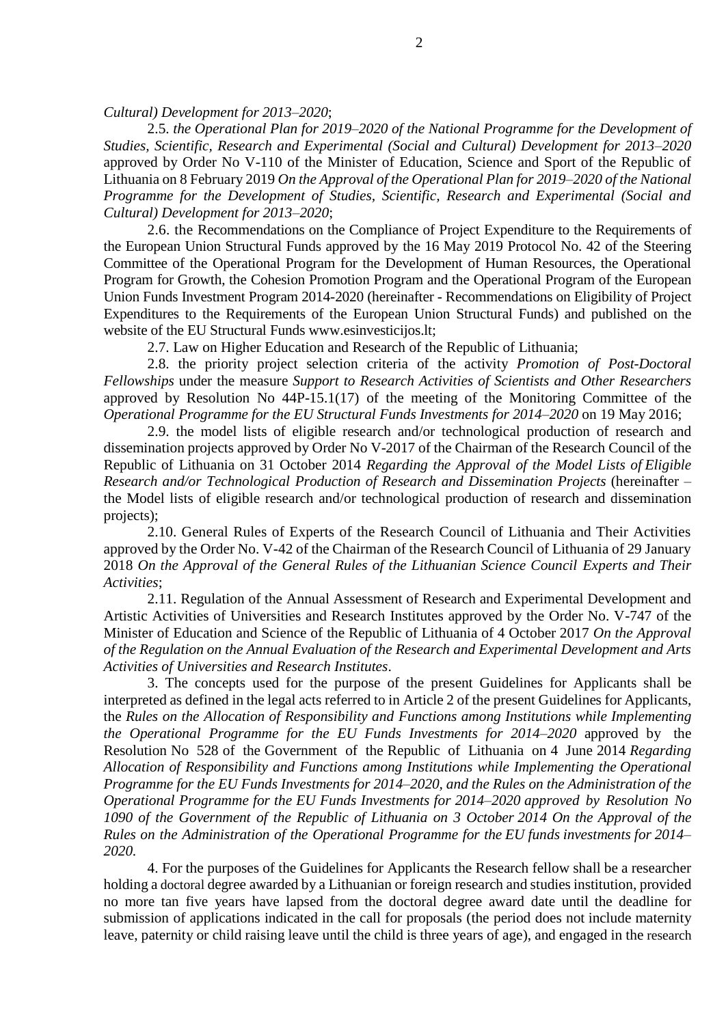*Cultural) Development for 2013–2020*;

2.5. *the Operational Plan for 2019–2020 of the National Programme for the Development of Studies, Scientific, Research and Experimental (Social and Cultural) Development for 2013–2020* approved by Order No V-110 of the Minister of Education, Science and Sport of the Republic of Lithuania on 8 February 2019 *On the Approval of the Operational Plan for 2019–2020 of the National Programme for the Development of Studies, Scientific, Research and Experimental (Social and Cultural) Development for 2013–2020*;

2.6. the Recommendations on the Compliance of Project Expenditure to the Requirements of the European Union Structural Funds approved by the 16 May 2019 Protocol No. 42 of the Steering Committee of the Operational Program for the Development of Human Resources, the Operational Program for Growth, the Cohesion Promotion Program and the Operational Program of the European Union Funds Investment Program 2014-2020 (hereinafter - Recommendations on Eligibility of Project Expenditures to the Requirements of the European Union Structural Funds) and published on the website of the EU Structural Funds www.esinvesticijos.lt;

2.7. Law on Higher Education and Research of the Republic of Lithuania;

2.8. the priority project selection criteria of the activity *Promotion of Post-Doctoral Fellowships* under the measure *Support to Research Activities of Scientists and Other Researchers*  approved by Resolution No 44P-15.1(17) of the meeting of the Monitoring Committee of the *Operational Programme for the EU Structural Funds Investments for 2014–2020* on 19 May 2016;

2.9. the model lists of eligible research and/or technological production of research and dissemination projects approved by Order No V-2017 of the Chairman of the Research Council of the Republic of Lithuania on 31 October 2014 *Regarding the Approval of the Model Lists of Eligible Research and/or Technological Production of Research and Dissemination Projects* (hereinafter – the Model lists of eligible research and/or technological production of research and dissemination projects);

2.10. General Rules of Experts of the Research Council of Lithuania and Their Activities approved by the Order No. V-42 of the Chairman of the Research Council of Lithuania of 29 January 2018 *On the Approval of the General Rules of the Lithuanian Science Council Experts and Their Activities*;

2.11. Regulation of the Annual Assessment of Research and Experimental Development and Artistic Activities of Universities and Research Institutes approved by the Order No. V-747 of the Minister of Education and Science of the Republic of Lithuania of 4 October 2017 *On the Approval of the Regulation on the Annual Evaluation of the Research and Experimental Development and Arts Activities of Universities and Research Institutes*.

3. The concepts used for the purpose of the present Guidelines for Applicants shall be interpreted as defined in the legal acts referred to in Article 2 of the present Guidelines for Applicants, the *Rules on the Allocation of Responsibility and Functions among Institutions while Implementing the Operational Programme for the EU Funds Investments for 2014–2020* approved by the Resolution No 528 of the Government of the Republic of Lithuania on 4 June 2014 *Regarding Allocation of Responsibility and Functions among Institutions while Implementing the Operational Programme for the EU Funds Investments for 2014–2020, and the Rules on the Administration of the Operational Programme for the EU Funds Investments for 2014–2020 approved by Resolution No 1090 of the Government of the Republic of Lithuania on 3 October 2014 On the Approval of the Rules on the Administration of the Operational Programme for the EU funds investments for 2014– 2020.*

4. For the purposes of the Guidelines for Applicants the Research fellow shall be a researcher holding a doctoral degree awarded by a Lithuanian or foreign research and studies institution, provided no more tan five years have lapsed from the doctoral degree award date until the deadline for submission of applications indicated in the call for proposals (the period does not include maternity leave, paternity or child raising leave until the child is three years of age), and engaged in the research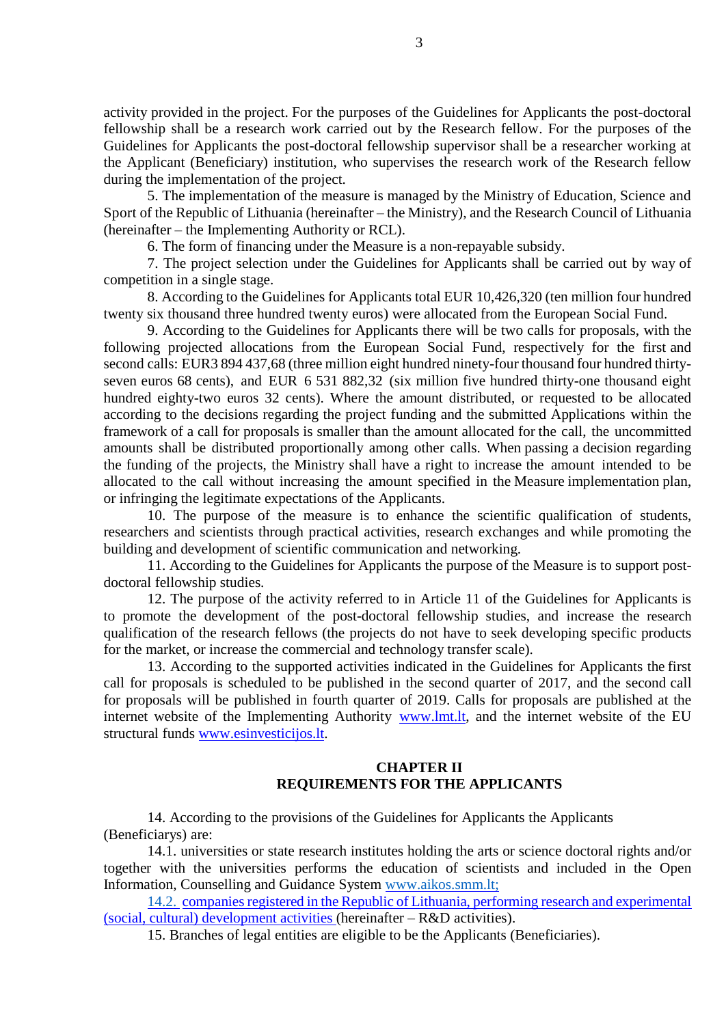activity provided in the project. For the purposes of the Guidelines for Applicants the post-doctoral fellowship shall be a research work carried out by the Research fellow. For the purposes of the Guidelines for Applicants the post-doctoral fellowship supervisor shall be a researcher working at the Applicant (Beneficiary) institution, who supervises the research work of the Research fellow during the implementation of the project.

5. The implementation of the measure is managed by the Ministry of Education, Science and Sport of the Republic of Lithuania (hereinafter – the Ministry), and the Research Council of Lithuania (hereinafter – the Implementing Authority or RCL).

6. The form of financing under the Measure is a non-repayable subsidy.

7. The project selection under the Guidelines for Applicants shall be carried out by way of competition in a single stage.

8. According to the Guidelines for Applicants total EUR 10,426,320 (ten million four hundred twenty six thousand three hundred twenty euros) were allocated from the European Social Fund.

9. According to the Guidelines for Applicants there will be two calls for proposals, with the following projected allocations from the European Social Fund, respectively for the first and second calls: EUR3 894 437,68 (three million eight hundred ninety-four thousand four hundred thirtyseven euros 68 cents), and EUR 6 531 882,32 (six million five hundred thirty-one thousand eight hundred eighty-two euros 32 cents). Where the amount distributed, or requested to be allocated according to the decisions regarding the project funding and the submitted Applications within the framework of a call for proposals is smaller than the amount allocated for the call, the uncommitted amounts shall be distributed proportionally among other calls. When passing a decision regarding the funding of the projects, the Ministry shall have a right to increase the amount intended to be allocated to the call without increasing the amount specified in the Measure implementation plan, or infringing the legitimate expectations of the Applicants.

10. The purpose of the measure is to enhance the scientific qualification of students, researchers and scientists through practical activities, research exchanges and while promoting the building and development of scientific communication and networking.

11. According to the Guidelines for Applicants the purpose of the Measure is to support postdoctoral fellowship studies.

12. The purpose of the activity referred to in Article 11 of the Guidelines for Applicants is to promote the development of the post-doctoral fellowship studies, and increase the research qualification of the research fellows (the projects do not have to seek developing specific products for the market, or increase the commercial and technology transfer scale).

13. According to the supported activities indicated in the Guidelines for Applicants the first call for proposals is scheduled to be published in the second quarter of 2017, and the second call for proposals will be published in fourth quarter of 2019. Calls for proposals are published at the internet website of the Implementing Authority [www.lmt.lt,](http://www.lmt.lt/) and the internet website of the EU structural funds [www.esinvesticijos.lt.](http://www.esinvesticijos.lt/)

# **CHAPTER II REQUIREMENTS FOR THE APPLICANTS**

14. According to the provisions of the Guidelines for Applicants the Applicants (Beneficiarys) are:

14.1. universities or state research institutes holding the arts or science doctoral rights and/or together with the universities performs the education of scientists and included in the Open Information, Counselling and Guidance System www.aikos.smm.lt;

14.2. companies registered in the Republic of Lithuania, performing research and experimental (social, cultural) development activities (hereinafter – R&D activities).

15. Branches of legal entities are eligible to be the Applicants (Beneficiaries).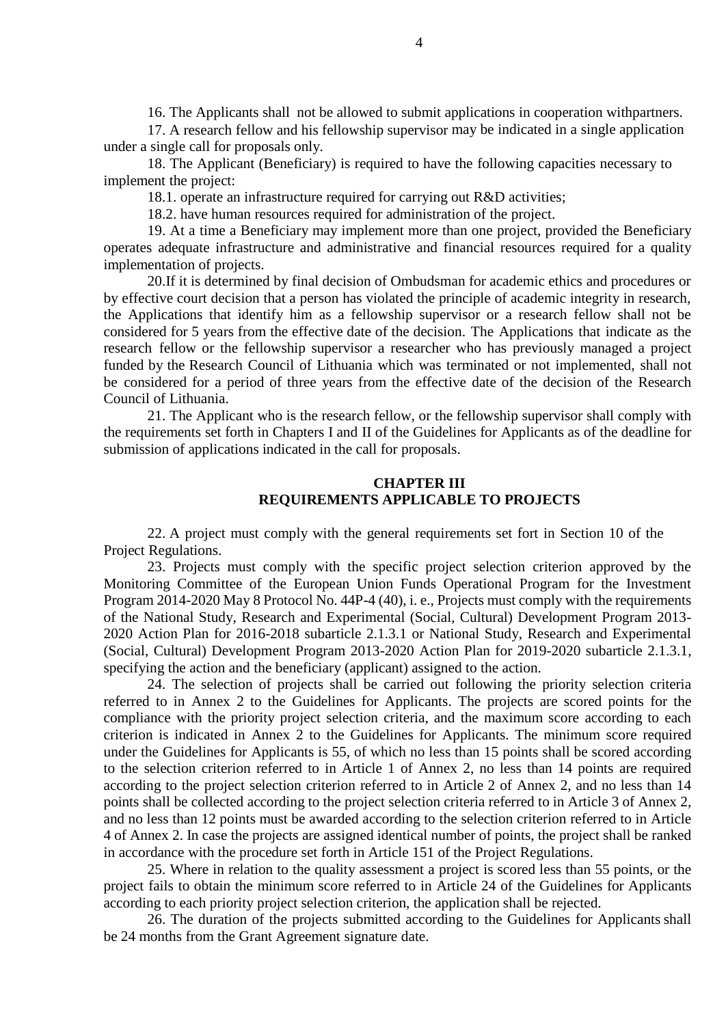16. The Applicants shall not be allowed to submit applications in cooperation withpartners.

17. A research fellow and his fellowship supervisor may be indicated in a single application under a single call for proposals only.

18. The Applicant (Beneficiary) is required to have the following capacities necessary to implement the project:

18.1. operate an infrastructure required for carrying out R&D activities;

18.2. have human resources required for administration of the project.

19. At a time a Beneficiary may implement more than one project, provided the Beneficiary operates adequate infrastructure and administrative and financial resources required for a quality implementation of projects.

20.If it is determined by final decision of Ombudsman for academic ethics and procedures or by effective court decision that a person has violated the principle of academic integrity in research, the Applications that identify him as a fellowship supervisor or a research fellow shall not be considered for 5 years from the effective date of the decision. The Applications that indicate as the research fellow or the fellowship supervisor a researcher who has previously managed a project funded by the Research Council of Lithuania which was terminated or not implemented, shall not be considered for a period of three years from the effective date of the decision of the Research Council of Lithuania.

21. The Applicant who is the research fellow, or the fellowship supervisor shall comply with the requirements set forth in Chapters I and II of the Guidelines for Applicants as of the deadline for submission of applications indicated in the call for proposals.

## **CHAPTER III REQUIREMENTS APPLICABLE TO PROJECTS**

22. A project must comply with the general requirements set fort in Section 10 of the Project Regulations.

23. Projects must comply with the specific project selection criterion approved by the Monitoring Committee of the European Union Funds Operational Program for the Investment Program 2014-2020 May 8 Protocol No. 44P-4 (40), i. e., Projects must comply with the requirements of the National Study, Research and Experimental (Social, Cultural) Development Program 2013- 2020 Action Plan for 2016-2018 subarticle 2.1.3.1 or National Study, Research and Experimental (Social, Cultural) Development Program 2013-2020 Action Plan for 2019-2020 subarticle 2.1.3.1, specifying the action and the beneficiary (applicant) assigned to the action.

24. The selection of projects shall be carried out following the priority selection criteria referred to in Annex 2 to the Guidelines for Applicants. The projects are scored points for the compliance with the priority project selection criteria, and the maximum score according to each criterion is indicated in Annex 2 to the Guidelines for Applicants. The minimum score required under the Guidelines for Applicants is 55, of which no less than 15 points shall be scored according to the selection criterion referred to in Article 1 of Annex 2, no less than 14 points are required according to the project selection criterion referred to in Article 2 of Annex 2, and no less than 14 points shall be collected according to the project selection criteria referred to in Article 3 of Annex 2, and no less than 12 points must be awarded according to the selection criterion referred to in Article 4 of Annex 2. In case the projects are assigned identical number of points, the project shall be ranked in accordance with the procedure set forth in Article 151 of the Project Regulations.

25. Where in relation to the quality assessment a project is scored less than 55 points, or the project fails to obtain the minimum score referred to in Article 24 of the Guidelines for Applicants according to each priority project selection criterion, the application shall be rejected.

26. The duration of the projects submitted according to the Guidelines for Applicants shall be 24 months from the Grant Agreement signature date.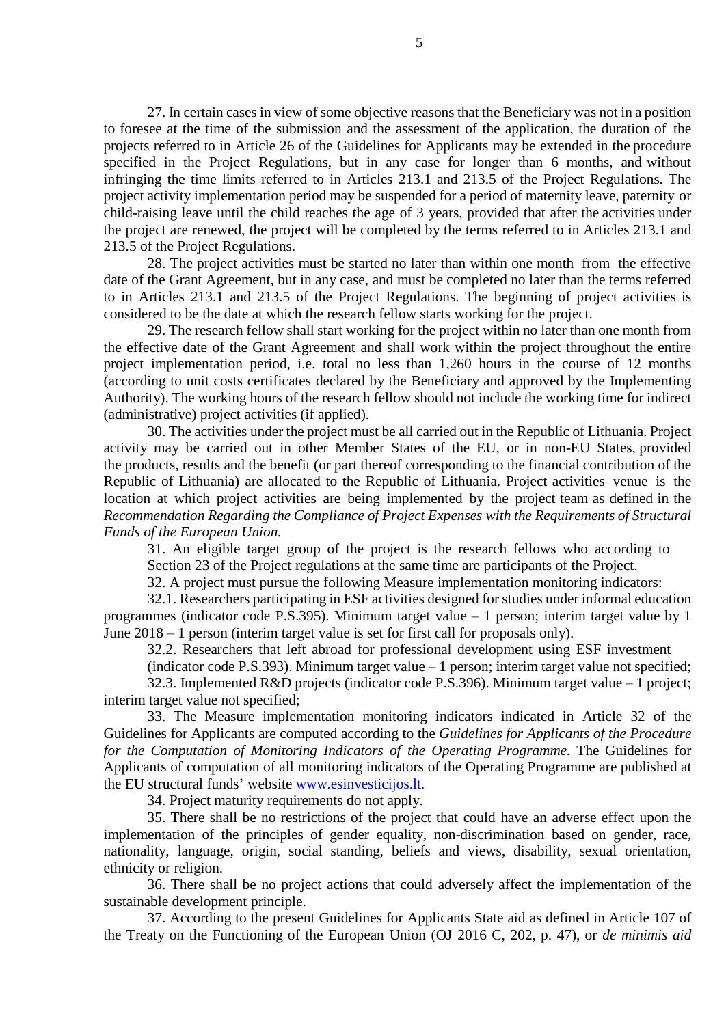27. In certain cases in view of some objective reasons that the Beneficiary was not in a position to foresee at the time of the submission and the assessment of the application, the duration of the projects referred to in Article 26 of the Guidelines for Applicants may be extended in the procedure specified in the Project Regulations, but in any case for longer than 6 months, and without infringing the time limits referred to in Articles 213.1 and 213.5 of the Project Regulations. The project activity implementation period may be suspended for a period of maternity leave, paternity or child-raising leave until the child reaches the age of 3 years, provided that after the activities under the project are renewed, the project will be completed by the terms referred to in Articles 213.1 and 213.5 of the Project Regulations.

28. The project activities must be started no later than within one month from the effective date of the Grant Agreement, but in any case, and must be completed no later than the terms referred to in Articles 213.1 and 213.5 of the Project Regulations. The beginning of project activities is considered to be the date at which the research fellow starts working for the project.

29. The research fellow shall start working for the project within no later than one month from the effective date of the Grant Agreement and shall work within the project throughout the entire project implementation period, i.e. total no less than 1,260 hours in the course of 12 months (according to unit costs certificates declared by the Beneficiary and approved by the Implementing Authority). The working hours of the research fellow should not include the working time for indirect (administrative) project activities (if applied).

30. The activities under the project must be all carried out in the Republic of Lithuania. Project activity may be carried out in other Member States of the EU, or in non-EU States, provided the products, results and the benefit (or part thereof corresponding to the financial contribution of the Republic of Lithuania) are allocated to the Republic of Lithuania. Project activities venue is the location at which project activities are being implemented by the project team as defined in the *Recommendation Regarding the Compliance of Project Expenses with the Requirements of Structural Funds of the European Union.*

31. An eligible target group of the project is the research fellows who according to Section 23 of the Project regulations at the same time are participants of the Project.

32. A project must pursue the following Measure implementation monitoring indicators:

32.1. Researchers participating in ESF activities designed for studies under informal education programmes (indicator code P.S.395). Minimum target value – 1 person; interim target value by 1 June 2018 – 1 person (interim target value is set for first call for proposals only).

32.2. Researchers that left abroad for professional development using ESF investment

(indicator code P.S.393). Minimum target value  $-1$  person; interim target value not specified; 32.3. Implemented R&D projects (indicator code P.S.396). Minimum target value – 1 project; interim target value not specified;

33. The Measure implementation monitoring indicators indicated in Article 32 of the Guidelines for Applicants are computed according to the *Guidelines for Applicants of the Procedure for the Computation of Monitoring Indicators of the Operating Programme.* The Guidelines for Applicants of computation of all monitoring indicators of the Operating Programme are published at the EU structural funds' website [www.esinvesticijos.lt.](http://www.esinvesticijos.lt/)

34. Project maturity requirements do not apply.

35. There shall be no restrictions of the project that could have an adverse effect upon the implementation of the principles of gender equality, non-discrimination based on gender, race, nationality, language, origin, social standing, beliefs and views, disability, sexual orientation, ethnicity or religion.

36. There shall be no project actions that could adversely affect the implementation of the sustainable development principle.

37. According to the present Guidelines for Applicants State aid as defined in Article 107 of the Treaty on the Functioning of the European Union (OJ 2016 C, 202, p. 47), or *de minimis aid*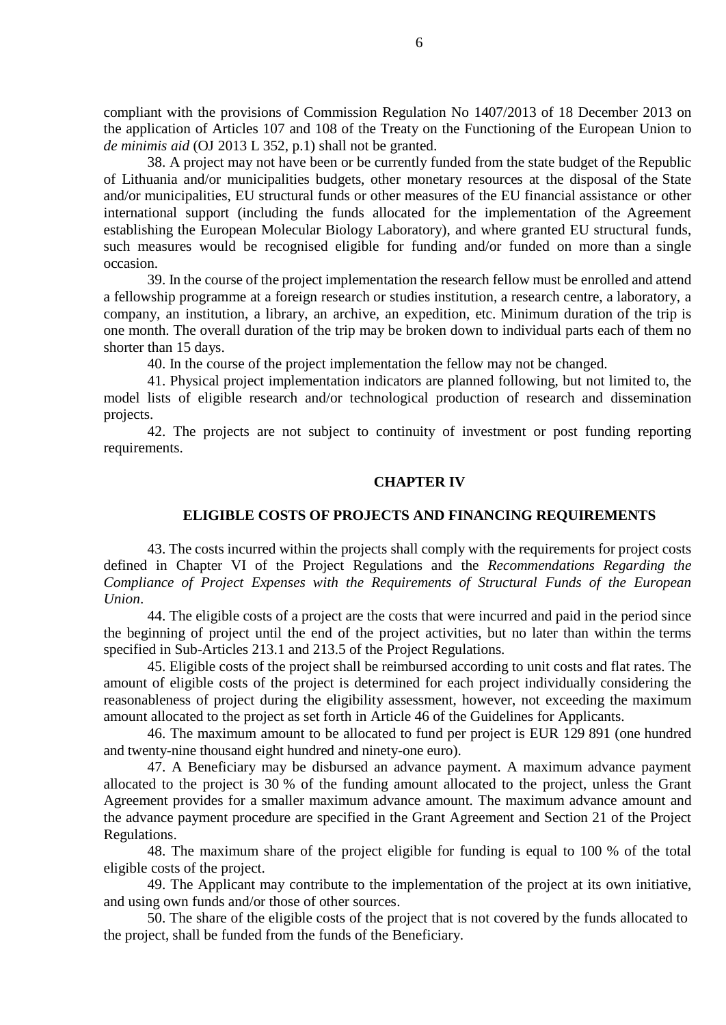compliant with the provisions of Commission Regulation No 1407/2013 of 18 December 2013 on the application of Articles 107 and 108 of the Treaty on the Functioning of the European Union to *de minimis aid* (OJ 2013 L 352, p.1) shall not be granted.

38. A project may not have been or be currently funded from the state budget of the Republic of Lithuania and/or municipalities budgets, other monetary resources at the disposal of the State and/or municipalities, EU structural funds or other measures of the EU financial assistance or other international support (including the funds allocated for the implementation of the Agreement establishing the European Molecular Biology Laboratory), and where granted EU structural funds, such measures would be recognised eligible for funding and/or funded on more than a single occasion.

39. In the course of the project implementation the research fellow must be enrolled and attend a fellowship programme at a foreign research or studies institution, a research centre, a laboratory, a company, an institution, a library, an archive, an expedition, etc. Minimum duration of the trip is one month. The overall duration of the trip may be broken down to individual parts each of them no shorter than 15 days.

40. In the course of the project implementation the fellow may not be changed.

41. Physical project implementation indicators are planned following, but not limited to, the model lists of eligible research and/or technological production of research and dissemination projects.

42. The projects are not subject to continuity of investment or post funding reporting requirements.

#### **CHAPTER IV**

## **ELIGIBLE COSTS OF PROJECTS AND FINANCING REQUIREMENTS**

43. The costs incurred within the projects shall comply with the requirements for project costs defined in Chapter VI of the Project Regulations and the *Recommendations Regarding the Compliance of Project Expenses with the Requirements of Structural Funds of the European Union*.

44. The eligible costs of a project are the costs that were incurred and paid in the period since the beginning of project until the end of the project activities, but no later than within the terms specified in Sub-Articles 213.1 and 213.5 of the Project Regulations.

45. Eligible costs of the project shall be reimbursed according to unit costs and flat rates. The amount of eligible costs of the project is determined for each project individually considering the reasonableness of project during the eligibility assessment, however, not exceeding the maximum amount allocated to the project as set forth in Article 46 of the Guidelines for Applicants.

46. The maximum amount to be allocated to fund per project is EUR 129 891 (one hundred and twenty-nine thousand eight hundred and ninety-one euro).

47. A Beneficiary may be disbursed an advance payment. A maximum advance payment allocated to the project is 30 % of the funding amount allocated to the project, unless the Grant Agreement provides for a smaller maximum advance amount. The maximum advance amount and the advance payment procedure are specified in the Grant Agreement and Section 21 of the Project Regulations.

48. The maximum share of the project eligible for funding is equal to 100 % of the total eligible costs of the project.

49. The Applicant may contribute to the implementation of the project at its own initiative, and using own funds and/or those of other sources.

50. The share of the eligible costs of the project that is not covered by the funds allocated to the project, shall be funded from the funds of the Beneficiary.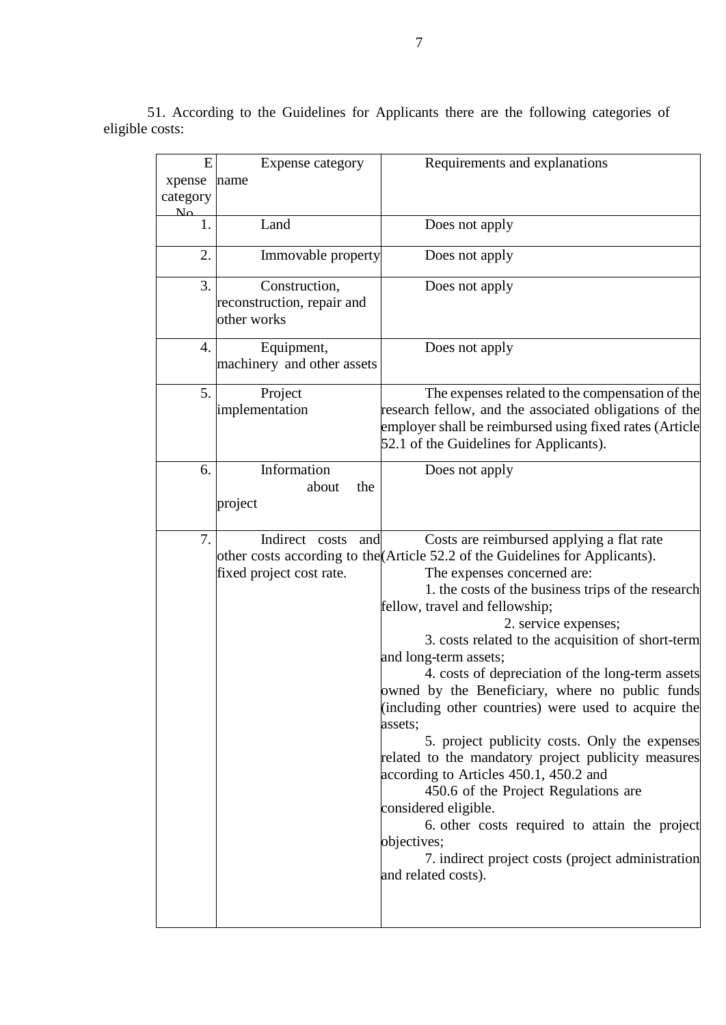51. According to the Guidelines for Applicants there are the following categories of eligible costs:

| E                  | Expense category                                           | Requirements and explanations                                                                                                                                                                                                                                                                                                                                                                                                                                                                                                                                                                                                                                                                                                                                                                                                                                                                   |
|--------------------|------------------------------------------------------------|-------------------------------------------------------------------------------------------------------------------------------------------------------------------------------------------------------------------------------------------------------------------------------------------------------------------------------------------------------------------------------------------------------------------------------------------------------------------------------------------------------------------------------------------------------------------------------------------------------------------------------------------------------------------------------------------------------------------------------------------------------------------------------------------------------------------------------------------------------------------------------------------------|
| xpense             | name                                                       |                                                                                                                                                                                                                                                                                                                                                                                                                                                                                                                                                                                                                                                                                                                                                                                                                                                                                                 |
| category           |                                                            |                                                                                                                                                                                                                                                                                                                                                                                                                                                                                                                                                                                                                                                                                                                                                                                                                                                                                                 |
| $N_{\Omega}$<br>1. | Land                                                       | Does not apply                                                                                                                                                                                                                                                                                                                                                                                                                                                                                                                                                                                                                                                                                                                                                                                                                                                                                  |
| 2.                 | Immovable property                                         | Does not apply                                                                                                                                                                                                                                                                                                                                                                                                                                                                                                                                                                                                                                                                                                                                                                                                                                                                                  |
| 3.                 | Construction,<br>reconstruction, repair and<br>other works | Does not apply                                                                                                                                                                                                                                                                                                                                                                                                                                                                                                                                                                                                                                                                                                                                                                                                                                                                                  |
| 4.                 | Equipment,<br>machinery and other assets                   | Does not apply                                                                                                                                                                                                                                                                                                                                                                                                                                                                                                                                                                                                                                                                                                                                                                                                                                                                                  |
| 5.                 | Project<br>implementation                                  | The expenses related to the compensation of the<br>research fellow, and the associated obligations of the<br>employer shall be reimbursed using fixed rates (Article<br>52.1 of the Guidelines for Applicants).                                                                                                                                                                                                                                                                                                                                                                                                                                                                                                                                                                                                                                                                                 |
| 6.                 | Information<br>about<br>the<br>project                     | Does not apply                                                                                                                                                                                                                                                                                                                                                                                                                                                                                                                                                                                                                                                                                                                                                                                                                                                                                  |
| 7.                 | Indirect costs<br>and<br>fixed project cost rate.          | Costs are reimbursed applying a flat rate<br>other costs according to the (Article 52.2 of the Guidelines for Applicants).<br>The expenses concerned are:<br>1. the costs of the business trips of the research<br>fellow, travel and fellowship;<br>2. service expenses;<br>3. costs related to the acquisition of short-term<br>and long-term assets;<br>4. costs of depreciation of the long-term assets<br>owned by the Beneficiary, where no public funds<br>(including other countries) were used to acquire the<br>assets;<br>5. project publicity costs. Only the expenses<br>related to the mandatory project publicity measures<br>according to Articles 450.1, 450.2 and<br>450.6 of the Project Regulations are<br>considered eligible.<br>6. other costs required to attain the project<br>objectives;<br>7. indirect project costs (project administration<br>and related costs). |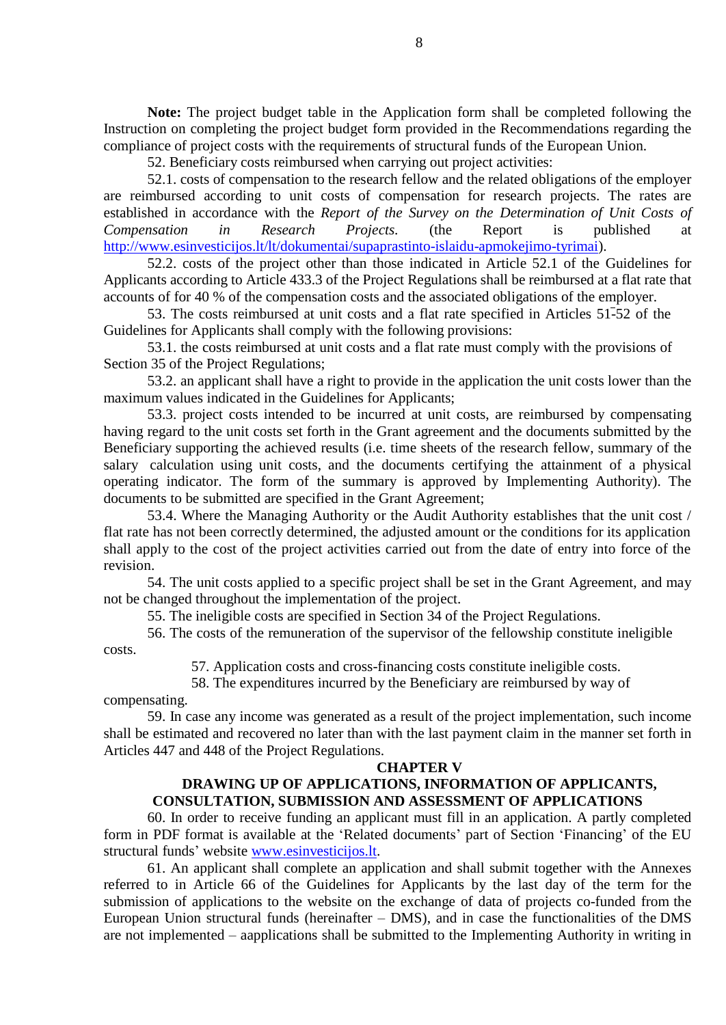**Note:** The project budget table in the Application form shall be completed following the Instruction on completing the project budget form provided in the Recommendations regarding the compliance of project costs with the requirements of structural funds of the European Union.

52. Beneficiary costs reimbursed when carrying out project activities:

52.1. costs of compensation to the research fellow and the related obligations of the employer are reimbursed according to unit costs of compensation for research projects. The rates are established in accordance with the *Report of the Survey on the Determination of Unit Costs of Compensation in Research Projects.* (the Report is published at [http://www.esinvesticijos.lt/lt/dokumentai/supaprastinto-islaidu-apmokejimo-tyrimai\)](http://www.esinvesticijos.lt/lt/dokumentai/supaprastinto-islaidu-apmokejimo-tyrimai).

52.2. costs of the project other than those indicated in Article 52.1 of the Guidelines for Applicants according to Article 433.3 of the Project Regulations shall be reimbursed at a flat rate that accounts of for 40 % of the compensation costs and the associated obligations of the employer.

53. The costs reimbursed at unit costs and a flat rate specified in Articles 51-52 of the Guidelines for Applicants shall comply with the following provisions:

53.1. the costs reimbursed at unit costs and a flat rate must comply with the provisions of Section 35 of the Project Regulations;

53.2. an applicant shall have a right to provide in the application the unit costs lower than the maximum values indicated in the Guidelines for Applicants;

53.3. project costs intended to be incurred at unit costs, are reimbursed by compensating having regard to the unit costs set forth in the Grant agreement and the documents submitted by the Beneficiary supporting the achieved results (i.e. time sheets of the research fellow, summary of the salary calculation using unit costs, and the documents certifying the attainment of a physical operating indicator. The form of the summary is approved by Implementing Authority). The documents to be submitted are specified in the Grant Agreement;

53.4. Where the Managing Authority or the Audit Authority establishes that the unit cost / flat rate has not been correctly determined, the adjusted amount or the conditions for its application shall apply to the cost of the project activities carried out from the date of entry into force of the revision.

54. The unit costs applied to a specific project shall be set in the Grant Agreement, and may not be changed throughout the implementation of the project.

55. The ineligible costs are specified in Section 34 of the Project Regulations.

56. The costs of the remuneration of the supervisor of the fellowship constitute ineligible costs.

57. Application costs and cross-financing costs constitute ineligible costs.

58. The expenditures incurred by the Beneficiary are reimbursed by way of

compensating.

59. In case any income was generated as a result of the project implementation, such income shall be estimated and recovered no later than with the last payment claim in the manner set forth in Articles 447 and 448 of the Project Regulations.

### **CHAPTER V**

# **DRAWING UP OF APPLICATIONS, INFORMATION OF APPLICANTS, CONSULTATION, SUBMISSION AND ASSESSMENT OF APPLICATIONS**

60. In order to receive funding an applicant must fill in an application. A partly completed form in PDF format is available at the 'Related documents' part of Section 'Financing' of the EU structural funds' website [www.esinvesticijos.lt.](http://www.esinvesticijos.lt/)

61. An applicant shall complete an application and shall submit together with the Annexes referred to in Article 66 of the Guidelines for Applicants by the last day of the term for the submission of applications to the website on the exchange of data of projects co-funded from the European Union structural funds (hereinafter – DMS), and in case the functionalities of the DMS are not implemented – aapplications shall be submitted to the Implementing Authority in writing in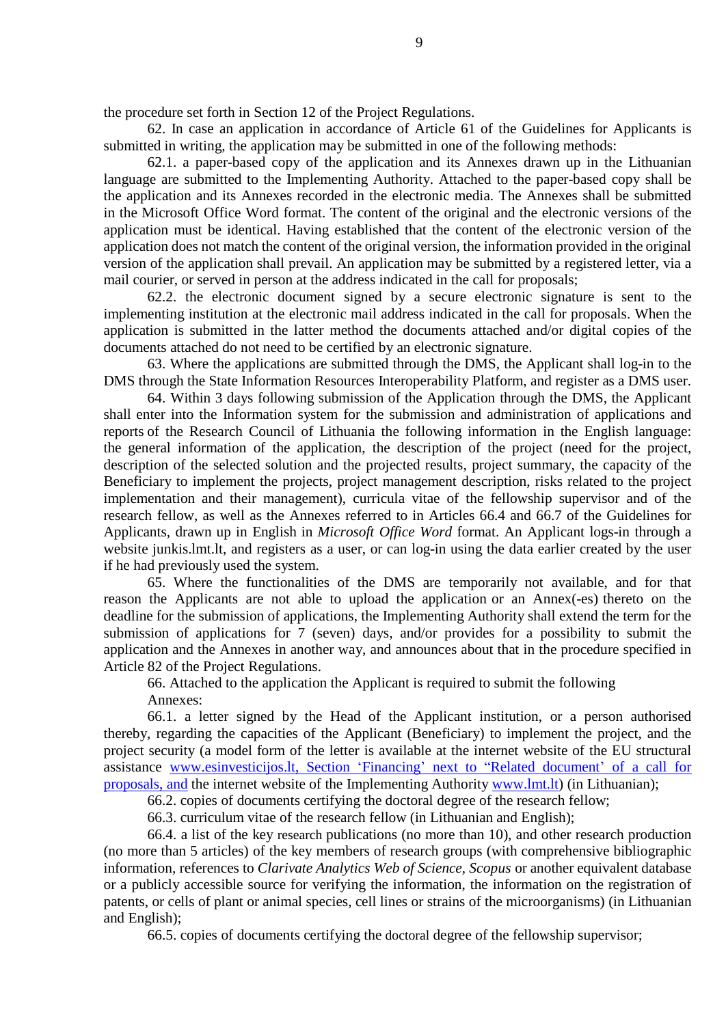the procedure set forth in Section 12 of the Project Regulations.

62. In case an application in accordance of Article 61 of the Guidelines for Applicants is submitted in writing, the application may be submitted in one of the following methods:

62.1. a paper-based copy of the application and its Annexes drawn up in the Lithuanian language are submitted to the Implementing Authority. Attached to the paper-based copy shall be the application and its Annexes recorded in the electronic media. The Annexes shall be submitted in the Microsoft Office Word format. The content of the original and the electronic versions of the application must be identical. Having established that the content of the electronic version of the application does not match the content of the original version, the information provided in the original version of the application shall prevail. An application may be submitted by a registered letter, via a mail courier, or served in person at the address indicated in the call for proposals;

62.2. the electronic document signed by a secure electronic signature is sent to the implementing institution at the electronic mail address indicated in the call for proposals. When the application is submitted in the latter method the documents attached and/or digital copies of the documents attached do not need to be certified by an electronic signature.

63. Where the applications are submitted through the DMS, the Applicant shall log-in to the DMS through the State Information Resources Interoperability Platform, and register as a DMS user.

64. Within 3 days following submission of the Application through the DMS, the Applicant shall enter into the Information system for the submission and administration of applications and reports of the Research Council of Lithuania the following information in the English language: the general information of the application, the description of the project (need for the project, description of the selected solution and the projected results, project summary, the capacity of the Beneficiary to implement the projects, project management description, risks related to the project implementation and their management), curricula vitae of the fellowship supervisor and of the research fellow, as well as the Annexes referred to in Articles 66.4 and 66.7 of the Guidelines for Applicants, drawn up in English in *Microsoft Office Word* format. An Applicant logs-in through a website junkis.lmt.lt, and registers as a user, or can log-in using the data earlier created by the user if he had previously used the system.

65. Where the functionalities of the DMS are temporarily not available, and for that reason the Applicants are not able to upload the application or an Annex(-es) thereto on the deadline for the submission of applications, the Implementing Authority shall extend the term for the submission of applications for 7 (seven) days, and/or provides for a possibility to submit the application and the Annexes in another way, and announces about that in the procedure specified in Article 82 of the Project Regulations.

66. Attached to the application the Applicant is required to submit the following Annexes:

66.1. a letter signed by the Head of the Applicant institution, or a person authorised thereby, regarding the capacities of the Applicant (Beneficiary) to implement the project, and the project security (a model form of the letter is available at the internet website of the EU structural assistance [www.esinvesticijos.lt,](http://www.esinvesticijos.lt/) Section 'Financing' next to "Related document' of a call for proposals, and the internet website of the Implementing Authority [www.lmt.lt\)](http://www.lmt.lt/) (in Lithuanian);

66.2. copies of documents certifying the doctoral degree of the research fellow;

66.3. curriculum vitae of the research fellow (in Lithuanian and English);

66.4. a list of the key research publications (no more than 10), and other research production (no more than 5 articles) of the key members of research groups (with comprehensive bibliographic information, references to *Clarivate Analytics Web of Science*, *Scopus* or another equivalent database or a publicly accessible source for verifying the information, the information on the registration of patents, or cells of plant or animal species, cell lines or strains of the microorganisms) (in Lithuanian and English);

66.5. copies of documents certifying the doctoral degree of the fellowship supervisor;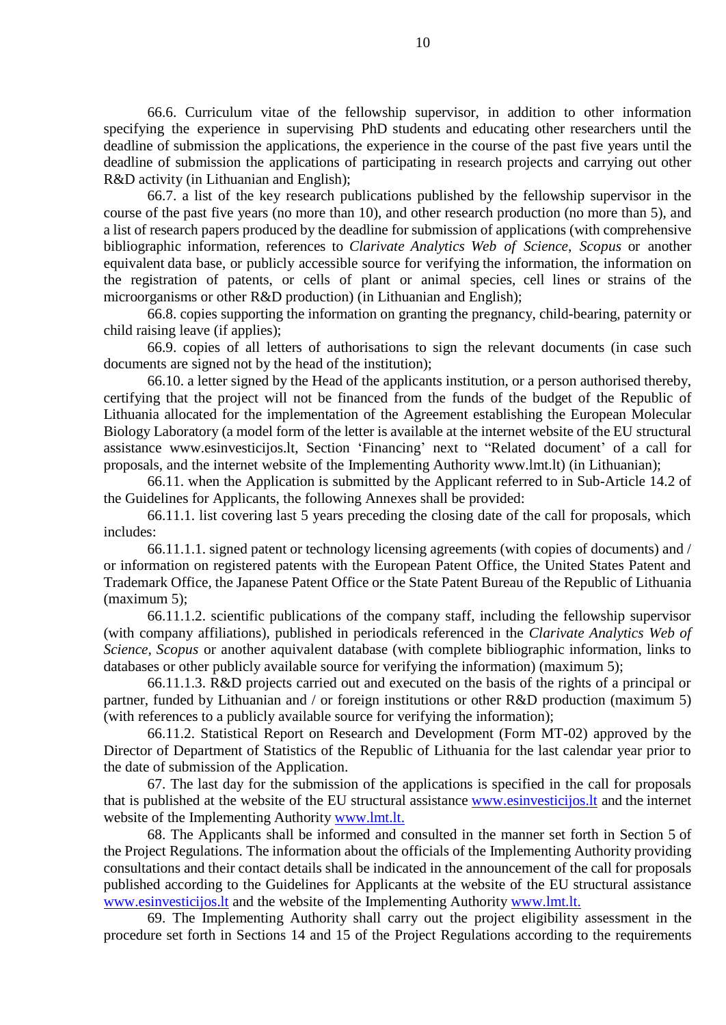66.6. Curriculum vitae of the fellowship supervisor, in addition to other information specifying the experience in supervising PhD students and educating other researchers until the deadline of submission the applications, the experience in the course of the past five years until the deadline of submission the applications of participating in research projects and carrying out other R&D activity (in Lithuanian and English);

66.7. a list of the key research publications published by the fellowship supervisor in the course of the past five years (no more than 10), and other research production (no more than 5), and a list of research papers produced by the deadline for submission of applications (with comprehensive bibliographic information, references to *Clarivate Analytics Web of Science*, *Scopus* or another equivalent data base, or publicly accessible source for verifying the information, the information on the registration of patents, or cells of plant or animal species, cell lines or strains of the microorganisms or other R&D production) (in Lithuanian and English);

66.8. copies supporting the information on granting the pregnancy, child-bearing, paternity or child raising leave (if applies);

66.9. copies of all letters of authorisations to sign the relevant documents (in case such documents are signed not by the head of the institution);

66.10. a letter signed by the Head of the applicants institution, or a person authorised thereby, certifying that the project will not be financed from the funds of the budget of the Republic of Lithuania allocated for the implementation of the Agreement establishing the European Molecular Biology Laboratory (a model form of the letter is available at the internet website of the EU structural assistance [www.esinvesticijos.lt,](http://www.esinvesticijos.lt/) Section 'Financing' next to "Related document' of a call for proposals, and the internet website of the Implementing Authority www.lmt.lt) (in Lithuanian);

66.11. when the Application is submitted by the Applicant referred to in Sub-Article 14.2 of the Guidelines for Applicants, the following Annexes shall be provided:

66.11.1. list covering last 5 years preceding the closing date of the call for proposals, which includes:

66.11.1.1. signed patent or technology licensing agreements (with copies of documents) and / or information on registered patents with the European Patent Office, the United States Patent and Trademark Office, the Japanese Patent Office or the State Patent Bureau of the Republic of Lithuania (maximum 5);

66.11.1.2. scientific publications of the company staff, including the fellowship supervisor (with company affiliations), published in periodicals referenced in the *Clarivate Analytics Web of Science, Scopus* or another aquivalent database (with complete bibliographic information, links to databases or other publicly available source for verifying the information) (maximum 5);

66.11.1.3. R&D projects carried out and executed on the basis of the rights of a principal or partner, funded by Lithuanian and / or foreign institutions or other R&D production (maximum 5) (with references to a publicly available source for verifying the information);

66.11.2. Statistical Report on Research and Development (Form MT-02) approved by the Director of Department of Statistics of the Republic of Lithuania for the last calendar year prior to the date of submission of the Application.

67. The last day for the submission of the applications is specified in the call for proposals that is published at the website of the EU structural assistance [www.esinvesticijos.lt](http://www.esinvesticijos.lt/) and the internet website of the Implementing Authority [www.lmt.lt.](http://www.lmt.lt/)

68. The Applicants shall be informed and consulted in the manner set forth in Section 5 of the Project Regulations. The information about the officials of the Implementing Authority providing consultations and their contact details shall be indicated in the announcement of the call for proposals published according to the Guidelines for Applicants at the website of the EU structural assistance [www.esinvesticijos.lt](http://www.esinvesticijos.lt/) and the website of the Implementing Authority [www.lmt.lt.](http://www.lmt.lt/)

69. The Implementing Authority shall carry out the project eligibility assessment in the procedure set forth in Sections 14 and 15 of the Project Regulations according to the requirements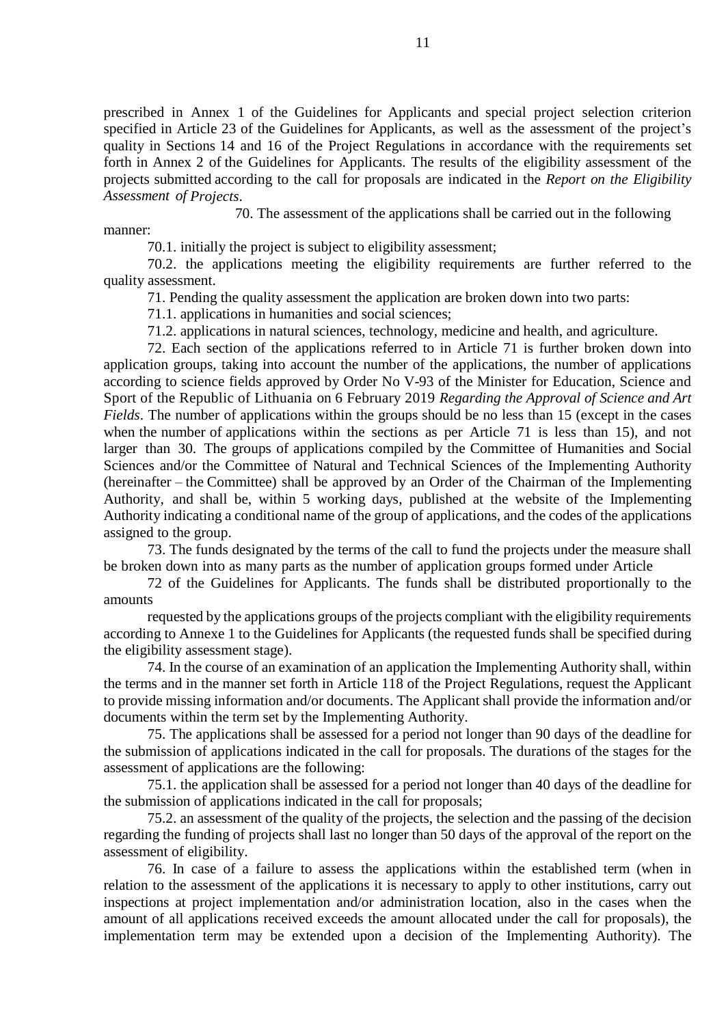prescribed in Annex 1 of the Guidelines for Applicants and special project selection criterion specified in Article 23 of the Guidelines for Applicants, as well as the assessment of the project's quality in Sections 14 and 16 of the Project Regulations in accordance with the requirements set forth in Annex 2 of the Guidelines for Applicants. The results of the eligibility assessment of the projects submitted according to the call for proposals are indicated in the *Report on the Eligibility Assessment of Projects*.

70. The assessment of the applications shall be carried out in the following

manner:

70.1. initially the project is subject to eligibility assessment;

70.2. the applications meeting the eligibility requirements are further referred to the quality assessment.

71. Pending the quality assessment the application are broken down into two parts:

71.1. applications in humanities and social sciences;

71.2. applications in natural sciences, technology, medicine and health, and agriculture.

72. Each section of the applications referred to in Article 71 is further broken down into application groups, taking into account the number of the applications, the number of applications according to science fields approved by Order No V-93 of the Minister for Education, Science and Sport of the Republic of Lithuania on 6 February 2019 *Regarding the Approval of Science and Art Fields*. The number of applications within the groups should be no less than 15 (except in the cases when the number of applications within the sections as per Article 71 is less than 15), and not larger than 30. The groups of applications compiled by the Committee of Humanities and Social Sciences and/or the Committee of Natural and Technical Sciences of the Implementing Authority (hereinafter – the Committee) shall be approved by an Order of the Chairman of the Implementing Authority, and shall be, within 5 working days, published at the website of the Implementing Authority indicating a conditional name of the group of applications, and the codes of the applications assigned to the group.

73. The funds designated by the terms of the call to fund the projects under the measure shall be broken down into as many parts as the number of application groups formed under Article

72 of the Guidelines for Applicants. The funds shall be distributed proportionally to the amounts

requested by the applications groups of the projects compliant with the eligibility requirements according to Annexe 1 to the Guidelines for Applicants (the requested funds shall be specified during the eligibility assessment stage).

74. In the course of an examination of an application the Implementing Authority shall, within the terms and in the manner set forth in Article 118 of the Project Regulations, request the Applicant to provide missing information and/or documents. The Applicant shall provide the information and/or documents within the term set by the Implementing Authority.

75. The applications shall be assessed for a period not longer than 90 days of the deadline for the submission of applications indicated in the call for proposals. The durations of the stages for the assessment of applications are the following:

75.1. the application shall be assessed for a period not longer than 40 days of the deadline for the submission of applications indicated in the call for proposals;

75.2. an assessment of the quality of the projects, the selection and the passing of the decision regarding the funding of projects shall last no longer than 50 days of the approval of the report on the assessment of eligibility.

76. In case of a failure to assess the applications within the established term (when in relation to the assessment of the applications it is necessary to apply to other institutions, carry out inspections at project implementation and/or administration location, also in the cases when the amount of all applications received exceeds the amount allocated under the call for proposals), the implementation term may be extended upon a decision of the Implementing Authority). The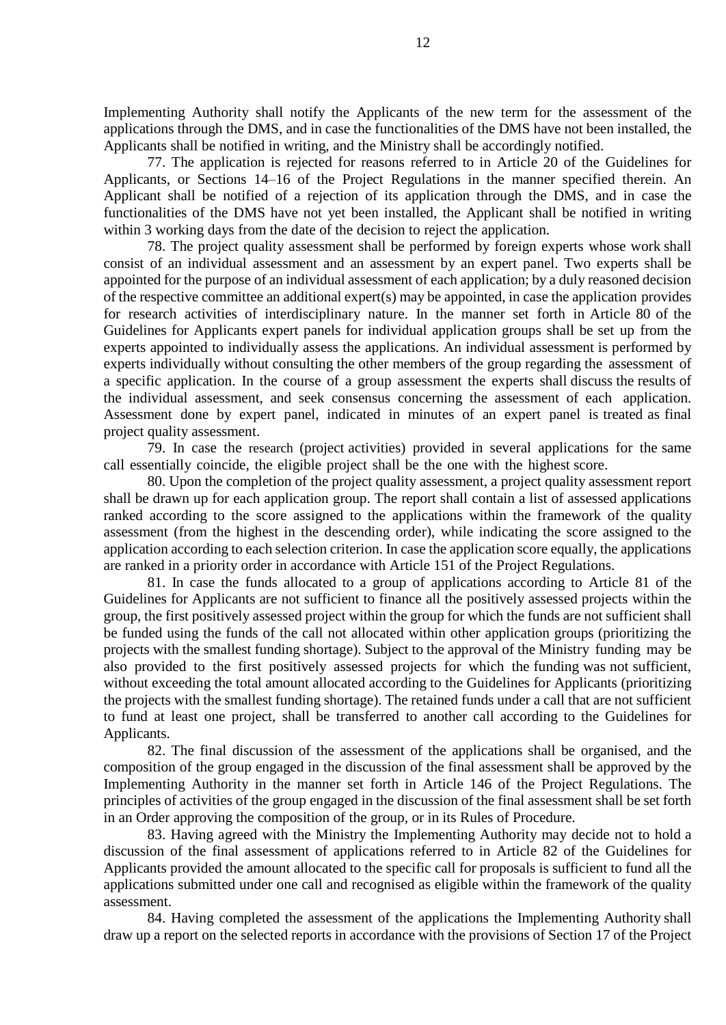Implementing Authority shall notify the Applicants of the new term for the assessment of the applications through the DMS, and in case the functionalities of the DMS have not been installed, the Applicants shall be notified in writing, and the Ministry shall be accordingly notified.

77. The application is rejected for reasons referred to in Article 20 of the Guidelines for Applicants, or Sections 14–16 of the Project Regulations in the manner specified therein. An Applicant shall be notified of a rejection of its application through the DMS, and in case the functionalities of the DMS have not yet been installed, the Applicant shall be notified in writing within 3 working days from the date of the decision to reject the application.

78. The project quality assessment shall be performed by foreign experts whose work shall consist of an individual assessment and an assessment by an expert panel. Two experts shall be appointed for the purpose of an individual assessment of each application; by a duly reasoned decision of the respective committee an additional expert(s) may be appointed, in case the application provides for research activities of interdisciplinary nature. In the manner set forth in Article 80 of the Guidelines for Applicants expert panels for individual application groups shall be set up from the experts appointed to individually assess the applications. An individual assessment is performed by experts individually without consulting the other members of the group regarding the assessment of a specific application. In the course of a group assessment the experts shall discuss the results of the individual assessment, and seek consensus concerning the assessment of each application. Assessment done by expert panel, indicated in minutes of an expert panel is treated as final project quality assessment.

79. In case the research (project activities) provided in several applications for the same call essentially coincide, the eligible project shall be the one with the highest score.

80. Upon the completion of the project quality assessment, a project quality assessment report shall be drawn up for each application group. The report shall contain a list of assessed applications ranked according to the score assigned to the applications within the framework of the quality assessment (from the highest in the descending order), while indicating the score assigned to the application according to each selection criterion. In case the application score equally, the applications are ranked in a priority order in accordance with Article 151 of the Project Regulations.

81. In case the funds allocated to a group of applications according to Article 81 of the Guidelines for Applicants are not sufficient to finance all the positively assessed projects within the group, the first positively assessed project within the group for which the funds are not sufficient shall be funded using the funds of the call not allocated within other application groups (prioritizing the projects with the smallest funding shortage). Subject to the approval of the Ministry funding may be also provided to the first positively assessed projects for which the funding was not sufficient, without exceeding the total amount allocated according to the Guidelines for Applicants (prioritizing the projects with the smallest funding shortage). The retained funds under a call that are not sufficient to fund at least one project, shall be transferred to another call according to the Guidelines for Applicants.

82. The final discussion of the assessment of the applications shall be organised, and the composition of the group engaged in the discussion of the final assessment shall be approved by the Implementing Authority in the manner set forth in Article 146 of the Project Regulations. The principles of activities of the group engaged in the discussion of the final assessment shall be set forth in an Order approving the composition of the group, or in its Rules of Procedure.

83. Having agreed with the Ministry the Implementing Authority may decide not to hold a discussion of the final assessment of applications referred to in Article 82 of the Guidelines for Applicants provided the amount allocated to the specific call for proposals is sufficient to fund all the applications submitted under one call and recognised as eligible within the framework of the quality assessment.

84. Having completed the assessment of the applications the Implementing Authority shall draw up a report on the selected reports in accordance with the provisions of Section 17 of the Project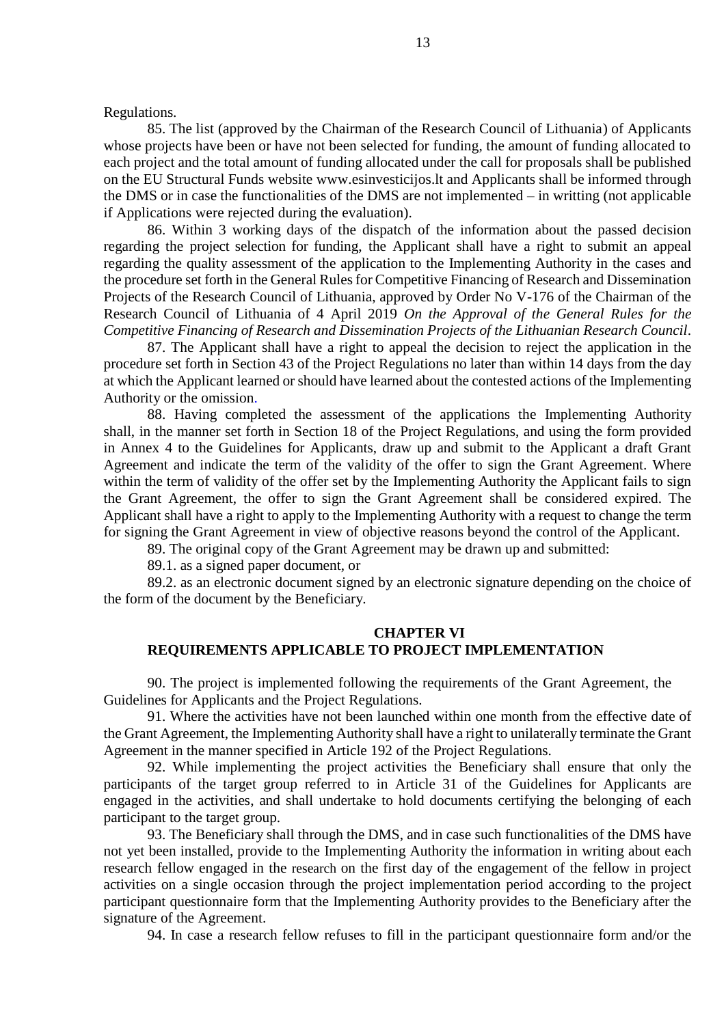Regulations.

85. The list (approved by the Chairman of the Research Council of Lithuania) of Applicants whose projects have been or have not been selected for funding, the amount of funding allocated to each project and the total amount of funding allocated under the call for proposals shall be published on the EU Structural Funds website www.esinvesticijos.lt and Applicants shall be informed through the DMS or in case the functionalities of the DMS are not implemented – in writting (not applicable if Applications were rejected during the evaluation).

86. Within 3 working days of the dispatch of the information about the passed decision regarding the project selection for funding, the Applicant shall have a right to submit an appeal regarding the quality assessment of the application to the Implementing Authority in the cases and the procedure set forth in the General Rules for Competitive Financing of Research and Dissemination Projects of the Research Council of Lithuania, approved by Order No V-176 of the Chairman of the Research Council of Lithuania of 4 April 2019 *On the Approval of the General Rules for the Competitive Financing of Research and Dissemination Projects of the Lithuanian Research Council*.

87. The Applicant shall have a right to appeal the decision to reject the application in the procedure set forth in Section 43 of the Project Regulations no later than within 14 days from the day at which the Applicant learned or should have learned about the contested actions of the Implementing Authority or the omission.

88. Having completed the assessment of the applications the Implementing Authority shall, in the manner set forth in Section 18 of the Project Regulations, and using the form provided in Annex 4 to the Guidelines for Applicants, draw up and submit to the Applicant a draft Grant Agreement and indicate the term of the validity of the offer to sign the Grant Agreement. Where within the term of validity of the offer set by the Implementing Authority the Applicant fails to sign the Grant Agreement, the offer to sign the Grant Agreement shall be considered expired. The Applicant shall have a right to apply to the Implementing Authority with a request to change the term for signing the Grant Agreement in view of objective reasons beyond the control of the Applicant.

89. The original copy of the Grant Agreement may be drawn up and submitted:

89.1. as a signed paper document, or

89.2. as an electronic document signed by an electronic signature depending on the choice of the form of the document by the Beneficiary.

## **CHAPTER VI REQUIREMENTS APPLICABLE TO PROJECT IMPLEMENTATION**

90. The project is implemented following the requirements of the Grant Agreement, the Guidelines for Applicants and the Project Regulations.

91. Where the activities have not been launched within one month from the effective date of the Grant Agreement, the Implementing Authority shall have a right to unilaterally terminate the Grant Agreement in the manner specified in Article 192 of the Project Regulations.

92. While implementing the project activities the Beneficiary shall ensure that only the participants of the target group referred to in Article 31 of the Guidelines for Applicants are engaged in the activities, and shall undertake to hold documents certifying the belonging of each participant to the target group.

93. The Beneficiary shall through the DMS, and in case such functionalities of the DMS have not yet been installed, provide to the Implementing Authority the information in writing about each research fellow engaged in the research on the first day of the engagement of the fellow in project activities on a single occasion through the project implementation period according to the project participant questionnaire form that the Implementing Authority provides to the Beneficiary after the signature of the Agreement.

94. In case a research fellow refuses to fill in the participant questionnaire form and/or the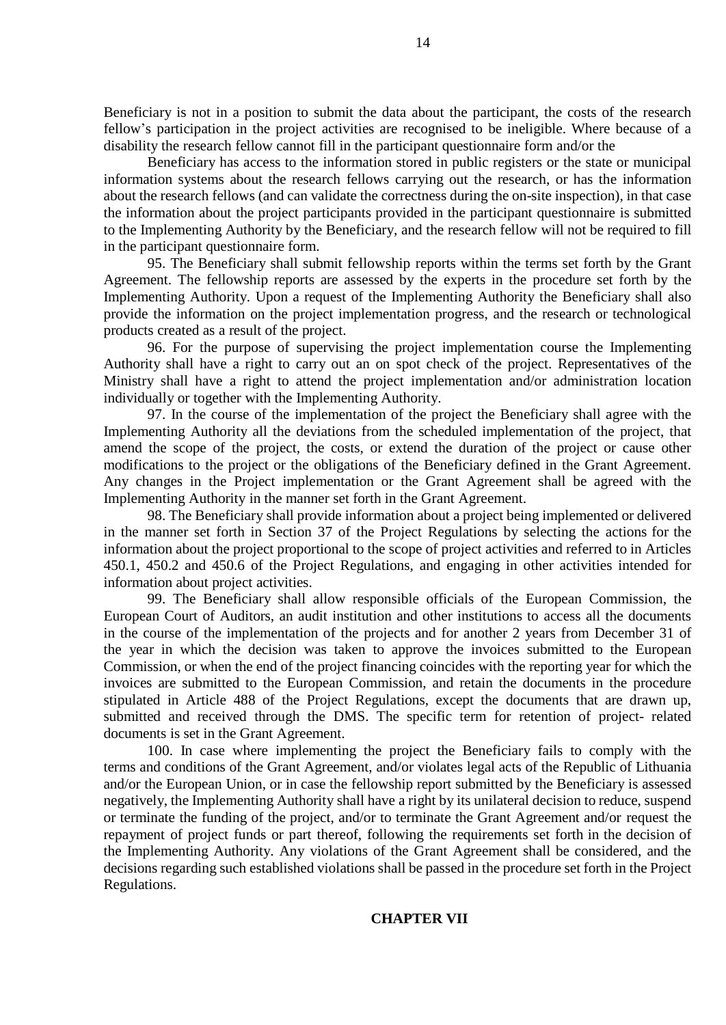Beneficiary is not in a position to submit the data about the participant, the costs of the research fellow's participation in the project activities are recognised to be ineligible. Where because of a disability the research fellow cannot fill in the participant questionnaire form and/or the

Beneficiary has access to the information stored in public registers or the state or municipal information systems about the research fellows carrying out the research, or has the information about the research fellows (and can validate the correctness during the on-site inspection), in that case the information about the project participants provided in the participant questionnaire is submitted to the Implementing Authority by the Beneficiary, and the research fellow will not be required to fill in the participant questionnaire form.

95. The Beneficiary shall submit fellowship reports within the terms set forth by the Grant Agreement. The fellowship reports are assessed by the experts in the procedure set forth by the Implementing Authority. Upon a request of the Implementing Authority the Beneficiary shall also provide the information on the project implementation progress, and the research or technological products created as a result of the project.

96. For the purpose of supervising the project implementation course the Implementing Authority shall have a right to carry out an on spot check of the project. Representatives of the Ministry shall have a right to attend the project implementation and/or administration location individually or together with the Implementing Authority.

97. In the course of the implementation of the project the Beneficiary shall agree with the Implementing Authority all the deviations from the scheduled implementation of the project, that amend the scope of the project, the costs, or extend the duration of the project or cause other modifications to the project or the obligations of the Beneficiary defined in the Grant Agreement. Any changes in the Project implementation or the Grant Agreement shall be agreed with the Implementing Authority in the manner set forth in the Grant Agreement.

98. The Beneficiary shall provide information about a project being implemented or delivered in the manner set forth in Section 37 of the Project Regulations by selecting the actions for the information about the project proportional to the scope of project activities and referred to in Articles 450.1, 450.2 and 450.6 of the Project Regulations, and engaging in other activities intended for information about project activities.

99. The Beneficiary shall allow responsible officials of the European Commission, the European Court of Auditors, an audit institution and other institutions to access all the documents in the course of the implementation of the projects and for another 2 years from December 31 of the year in which the decision was taken to approve the invoices submitted to the European Commission, or when the end of the project financing coincides with the reporting year for which the invoices are submitted to the European Commission, and retain the documents in the procedure stipulated in Article 488 of the Project Regulations, except the documents that are drawn up, submitted and received through the DMS. The specific term for retention of project- related documents is set in the Grant Agreement.

100. In case where implementing the project the Beneficiary fails to comply with the terms and conditions of the Grant Agreement, and/or violates legal acts of the Republic of Lithuania and/or the European Union, or in case the fellowship report submitted by the Beneficiary is assessed negatively, the Implementing Authority shall have a right by its unilateral decision to reduce, suspend or terminate the funding of the project, and/or to terminate the Grant Agreement and/or request the repayment of project funds or part thereof, following the requirements set forth in the decision of the Implementing Authority. Any violations of the Grant Agreement shall be considered, and the decisions regarding such established violations shall be passed in the procedure set forth in the Project Regulations.

### **CHAPTER VII**